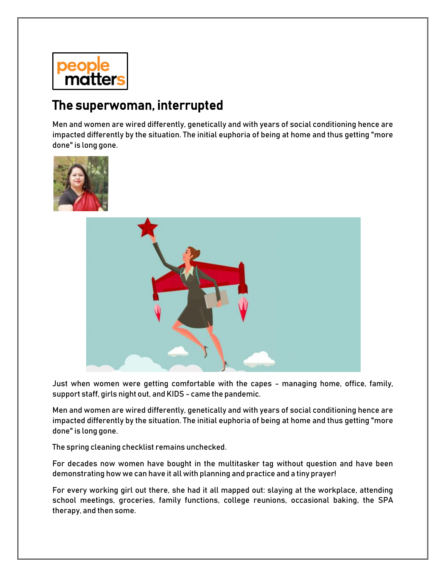

## The superwoman, interrupted

Men and women are wired differently, genetically and with years of social conditioning hence are impacted differently by the situation. The initial euphoria of being at home and thus getting "more done" is long gone.





Just when women were getting comfortable with the capes - managing home, office, family, support staff, girls night out, and KIDS - came the pandemic.

Men and women are wired differently, genetically and with years of social conditioning hence are impacted differently by the situation. The initial euphoria of being at home and thus getting "more done" is long gone.

The spring cleaning checklist remains unchecked.

For decades now women have bought in the multitasker tag without question and have been demonstrating how we can have it all with planning and practice and a tiny prayer!

For every working girl out there, she had it all mapped out: slaying at the workplace, attending school meetings, groceries, family functions, college reunions, occasional baking, the SPA therapy, and then some.